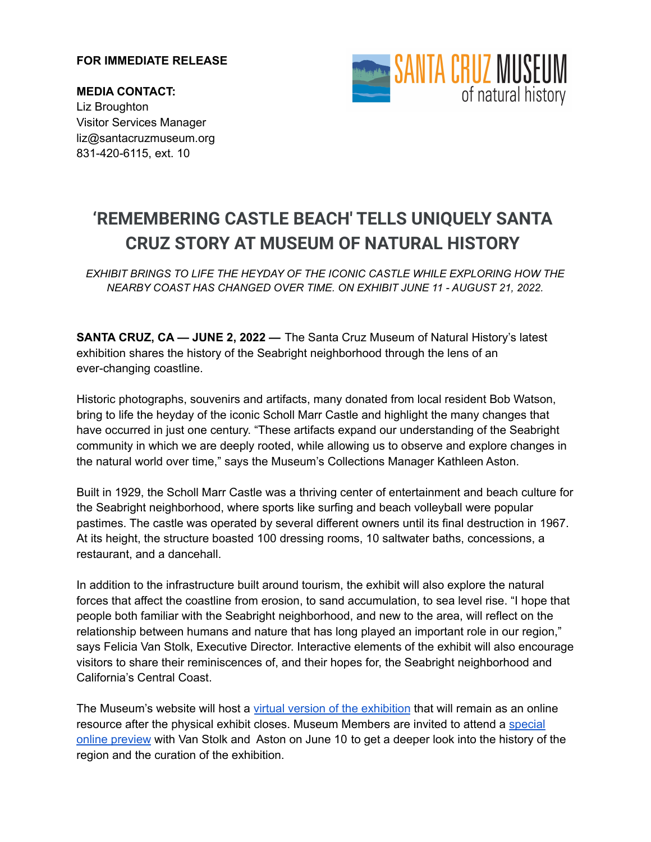## **FOR IMMEDIATE RELEASE**

**MEDIA CONTACT:** Liz Broughton Visitor Services Manager liz@santacruzmuseum.org 831-420-6115, ext. 10



## **'REMEMBERING CASTLE BEACH' TELLS UNIQUELY SANTA CRUZ STORY AT MUSEUM OF NATURAL HISTORY**

*EXHIBIT BRINGS TO LIFE THE HEYDAY OF THE ICONIC CASTLE WHILE EXPLORING HOW THE NEARBY COAST HAS CHANGED OVER TIME. ON EXHIBIT JUNE 11 - AUGUST 21, 2022.*

**SANTA CRUZ, CA — JUNE 2, 2022 —** The Santa Cruz Museum of Natural History's latest exhibition shares the history of the Seabright neighborhood through the lens of an ever-changing coastline.

Historic photographs, souvenirs and artifacts, many donated from local resident Bob Watson, bring to life the heyday of the iconic Scholl Marr Castle and highlight the many changes that have occurred in just one century. "These artifacts expand our understanding of the Seabright community in which we are deeply rooted, while allowing us to observe and explore changes in the natural world over time," says the Museum's Collections Manager Kathleen Aston.

Built in 1929, the Scholl Marr Castle was a thriving center of entertainment and beach culture for the Seabright neighborhood, where sports like surfing and beach volleyball were popular pastimes. The castle was operated by several different owners until its final destruction in 1967. At its height, the structure boasted 100 dressing rooms, 10 saltwater baths, concessions, a restaurant, and a dancehall.

In addition to the infrastructure built around tourism, the exhibit will also explore the natural forces that affect the coastline from erosion, to sand accumulation, to sea level rise. "I hope that people both familiar with the Seabright neighborhood, and new to the area, will reflect on the relationship between humans and nature that has long played an important role in our region," says Felicia Van Stolk, Executive Director. Interactive elements of the exhibit will also encourage visitors to share their reminiscences of, and their hopes for, the Seabright neighborhood and California's Central Coast.

The Museum's website will host a virtual version of the [exhibition](https://www.santacruzmuseum.org/exhibits/remembering-castle-beach/) that will remain as an online resource after the physical exhibit closes. Museum Members are invited to attend a [special](https://www.santacruzmuseum.org/6-10-remembering-castle-beach-member-preview/) online [preview](https://www.santacruzmuseum.org/6-10-remembering-castle-beach-member-preview/) with Van Stolk and Aston on June 10 to get a deeper look into the history of the region and the curation of the exhibition.